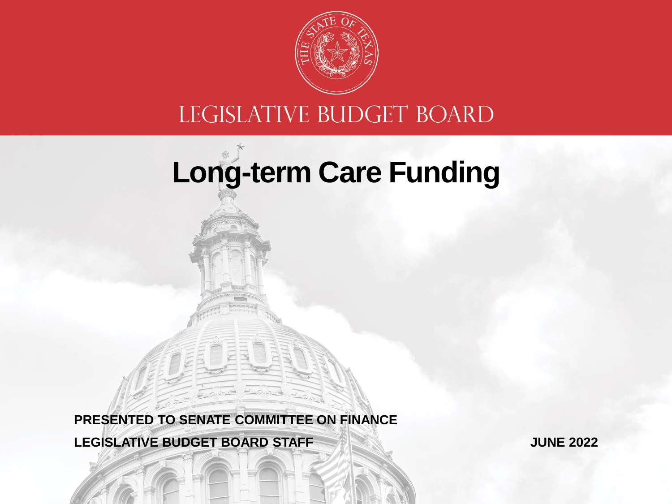

#### LEGISLATIVE BUDGET BOARD

# **Long-term Care Funding**

**LEGISLATIVE BUDGET BOARD STAFF PRESENTED TO SENATE COMMITTEE ON FINANCE**

**JUNE 2022**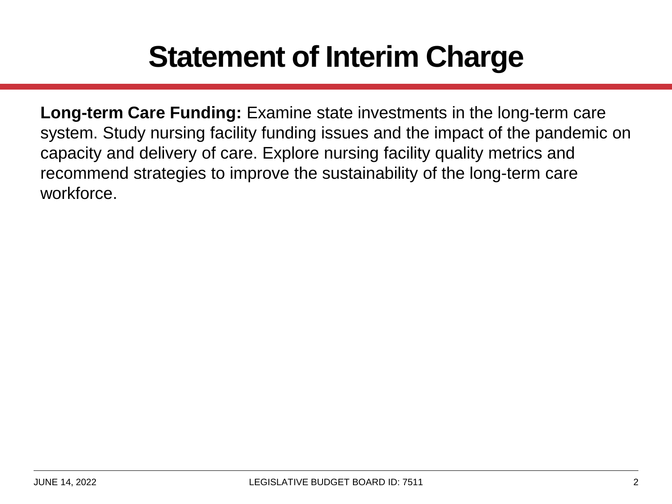#### **Statement of Interim Charge**

**Long-term Care Funding:** Examine state investments in the long-term care system. Study nursing facility funding issues and the impact of the pandemic on capacity and delivery of care. Explore nursing facility quality metrics and recommend strategies to improve the sustainability of the long-term care workforce.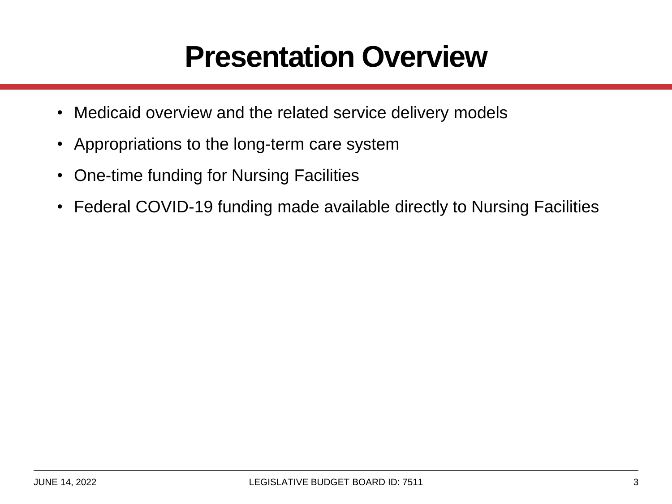#### **Presentation Overview**

- Medicaid overview and the related service delivery models
- Appropriations to the long-term care system
- One-time funding for Nursing Facilities
- Federal COVID-19 funding made available directly to Nursing Facilities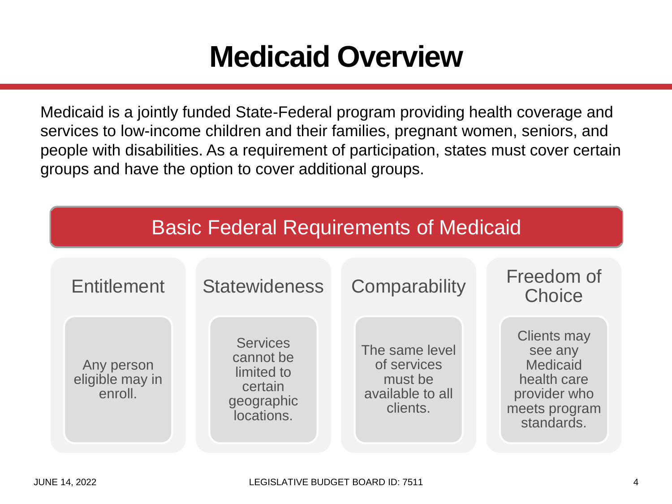#### **Medicaid Overview**

Medicaid is a jointly funded State-Federal program providing health coverage and services to low-income children and their families, pregnant women, seniors, and people with disabilities. As a requirement of participation, states must cover certain groups and have the option to cover additional groups.

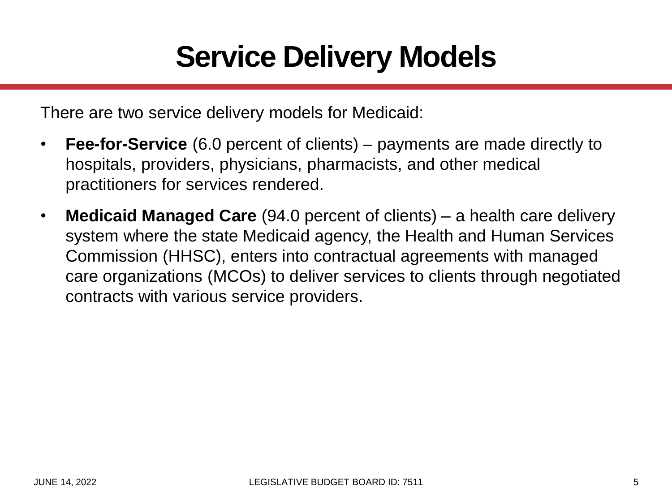#### **Service Delivery Models**

There are two service delivery models for Medicaid:

- **Fee-for-Service** (6.0 percent of clients) payments are made directly to hospitals, providers, physicians, pharmacists, and other medical practitioners for services rendered.
- **Medicaid Managed Care** (94.0 percent of clients) a health care delivery system where the state Medicaid agency, the Health and Human Services Commission (HHSC), enters into contractual agreements with managed care organizations (MCOs) to deliver services to clients through negotiated contracts with various service providers.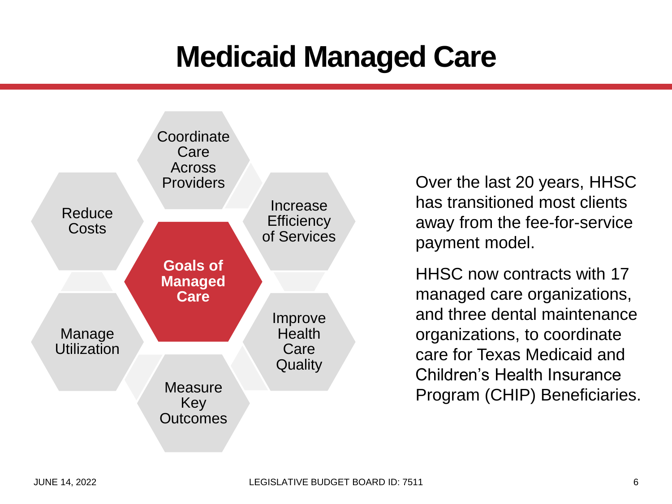#### **Medicaid Managed Care**



Over the last 20 years, HHSC has transitioned most clients away from the fee-for-service payment model.

HHSC now contracts with 17 managed care organizations, and three dental maintenance organizations, to coordinate care for Texas Medicaid and Children's Health Insurance Program (CHIP) Beneficiaries.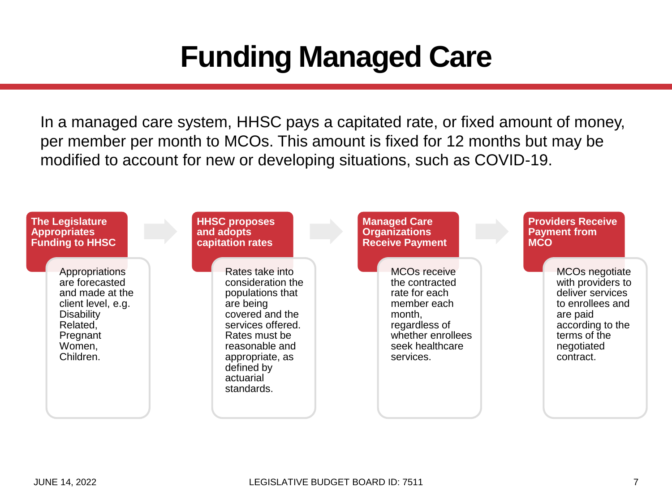#### **Funding Managed Care**

In a managed care system, HHSC pays a capitated rate, or fixed amount of money, per member per month to MCOs. This amount is fixed for 12 months but may be modified to account for new or developing situations, such as COVID-19.

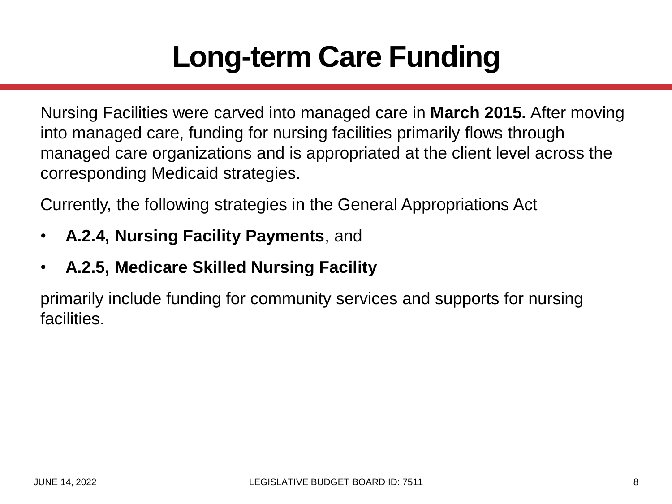# **Long-term Care Funding**

Nursing Facilities were carved into managed care in **March 2015.** After moving into managed care, funding for nursing facilities primarily flows through managed care organizations and is appropriated at the client level across the corresponding Medicaid strategies.

Currently, the following strategies in the General Appropriations Act

- **A.2.4, Nursing Facility Payments**, and
- **A.2.5, Medicare Skilled Nursing Facility**

primarily include funding for community services and supports for nursing facilities.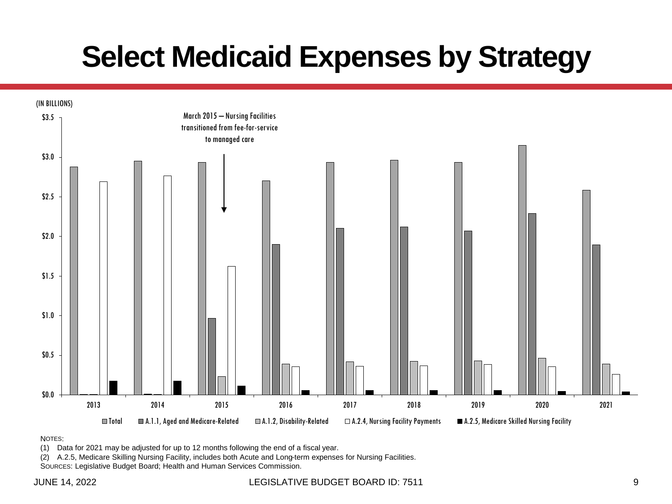# **Select Medicaid Expenses by Strategy**



NOTES:

(1) Data for 2021 may be adjusted for up to 12 months following the end of a fiscal year.

(2) A.2.5, Medicare Skilling Nursing Facility, includes both Acute and Long-term expenses for Nursing Facilities.

SOURCES: Legislative Budget Board; Health and Human Services Commission.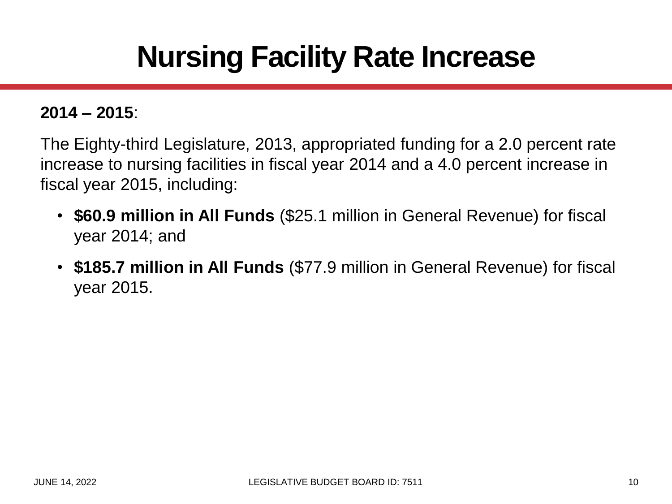#### **Nursing Facility Rate Increase**

#### **2014 – 2015**:

The Eighty-third Legislature, 2013, appropriated funding for a 2.0 percent rate increase to nursing facilities in fiscal year 2014 and a 4.0 percent increase in fiscal year 2015, including:

- **\$60.9 million in All Funds** (\$25.1 million in General Revenue) for fiscal year 2014; and
- **\$185.7 million in All Funds** (\$77.9 million in General Revenue) for fiscal year 2015.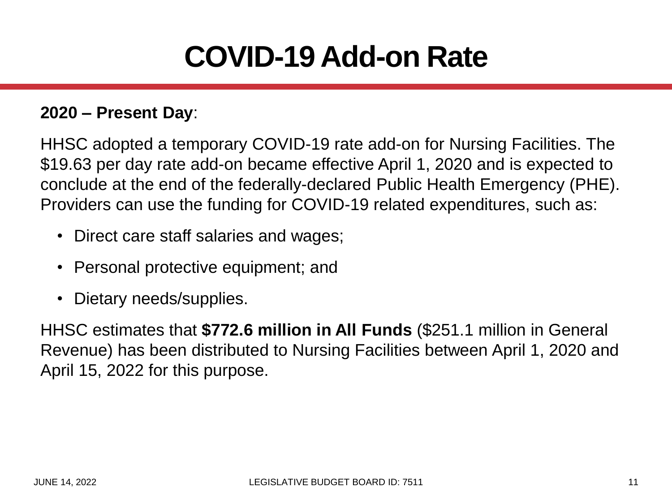# **COVID-19 Add-on Rate**

#### **2020 – Present Day**:

HHSC adopted a temporary COVID-19 rate add-on for Nursing Facilities. The \$19.63 per day rate add-on became effective April 1, 2020 and is expected to conclude at the end of the federally-declared Public Health Emergency (PHE). Providers can use the funding for COVID-19 related expenditures, such as:

- Direct care staff salaries and wages;
- Personal protective equipment; and
- Dietary needs/supplies.

HHSC estimates that **\$772.6 million in All Funds** (\$251.1 million in General Revenue) has been distributed to Nursing Facilities between April 1, 2020 and April 15, 2022 for this purpose.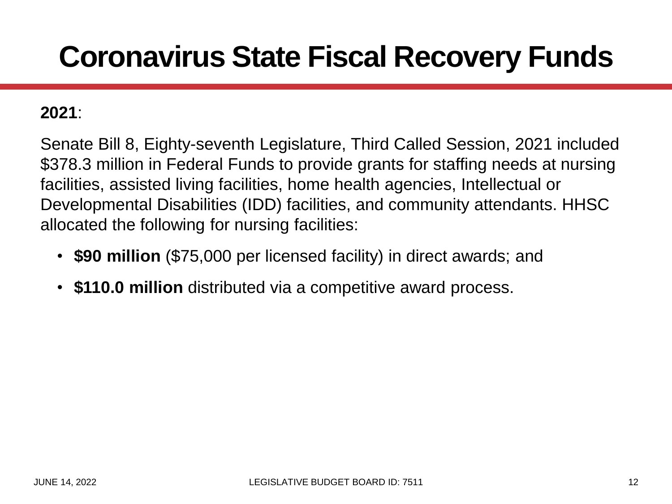#### **Coronavirus State Fiscal Recovery Funds**

#### **2021**:

Senate Bill 8, Eighty-seventh Legislature, Third Called Session, 2021 included \$378.3 million in Federal Funds to provide grants for staffing needs at nursing facilities, assisted living facilities, home health agencies, Intellectual or Developmental Disabilities (IDD) facilities, and community attendants. HHSC allocated the following for nursing facilities:

- **\$90 million** (\$75,000 per licensed facility) in direct awards; and
- **\$110.0 million** distributed via a competitive award process.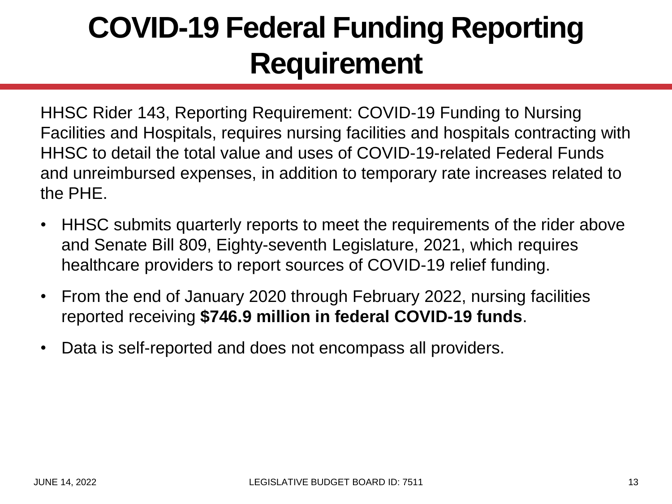# **COVID-19 Federal Funding Reporting Requirement**

HHSC Rider 143, Reporting Requirement: COVID-19 Funding to Nursing Facilities and Hospitals, requires nursing facilities and hospitals contracting with HHSC to detail the total value and uses of COVID-19-related Federal Funds and unreimbursed expenses, in addition to temporary rate increases related to the PHE.

- HHSC submits quarterly reports to meet the requirements of the rider above and Senate Bill 809, Eighty-seventh Legislature, 2021, which requires healthcare providers to report sources of COVID-19 relief funding.
- From the end of January 2020 through February 2022, nursing facilities reported receiving **\$746.9 million in federal COVID-19 funds**.
- Data is self-reported and does not encompass all providers.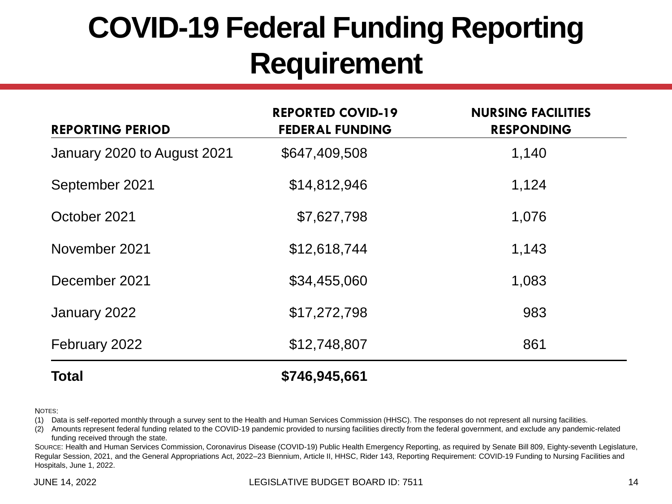# **COVID-19 Federal Funding Reporting Requirement**

| <b>REPORTING PERIOD</b>     | <b>REPORTED COVID-19</b><br><b>FEDERAL FUNDING</b> | <b>NURSING FACILITIES</b><br><b>RESPONDING</b> |
|-----------------------------|----------------------------------------------------|------------------------------------------------|
| January 2020 to August 2021 | \$647,409,508                                      | 1,140                                          |
| September 2021              | \$14,812,946                                       | 1,124                                          |
| October 2021                | \$7,627,798                                        | 1,076                                          |
| November 2021               | \$12,618,744                                       | 1,143                                          |
| December 2021               | \$34,455,060                                       | 1,083                                          |
| January 2022                | \$17,272,798                                       | 983                                            |
| February 2022               | \$12,748,807                                       | 861                                            |
| <b>Total</b>                | \$746,945,661                                      |                                                |

NOTES:

(1) Data is self-reported monthly through a survey sent to the Health and Human Services Commission (HHSC). The responses do not represent all nursing facilities.

(2) Amounts represent federal funding related to the COVID-19 pandemic provided to nursing facilities directly from the federal government, and exclude any pandemic-related funding received through the state.

SOURCE: Health and Human Services Commission, Coronavirus Disease (COVID-19) Public Health Emergency Reporting, as required by Senate Bill 809, Eighty-seventh Legislature, Regular Session, 2021, and the General Appropriations Act, 2022–23 Biennium, Article II, HHSC, Rider 143, Reporting Requirement: COVID-19 Funding to Nursing Facilities and Hospitals, June 1, 2022.